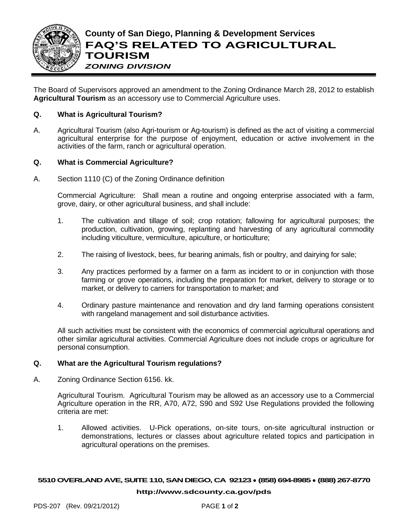

The Board of Supervisors approved an amendment to the Zoning Ordinance March 28, 2012 to establish **Agricultural Tourism** as an accessory use to Commercial Agriculture uses.

# **Q. What is Agricultural Tourism?**

A. Agricultural Tourism (also Agri-tourism or Ag-tourism) is defined as the act of visiting a commercial agricultural enterprise for the purpose of enjoyment, education or active involvement in the activities of the farm, ranch or agricultural operation.

# **Q. What is Commercial Agriculture?**

A. Section 1110 (C) of the Zoning Ordinance definition

Commercial Agriculture: Shall mean a routine and ongoing enterprise associated with a farm, grove, dairy, or other agricultural business, and shall include:

- 1. The cultivation and tillage of soil; crop rotation; fallowing for agricultural purposes; the production, cultivation, growing, replanting and harvesting of any agricultural commodity including viticulture, vermiculture, apiculture, or horticulture;
- 2. The raising of livestock, bees, fur bearing animals, fish or poultry, and dairying for sale;
- 3. Any practices performed by a farmer on a farm as incident to or in conjunction with those farming or grove operations, including the preparation for market, delivery to storage or to market, or delivery to carriers for transportation to market; and
- 4. Ordinary pasture maintenance and renovation and dry land farming operations consistent with rangeland management and soil disturbance activities.

All such activities must be consistent with the economics of commercial agricultural operations and other similar agricultural activities. Commercial Agriculture does not include crops or agriculture for personal consumption.

## **Q. What are the Agricultural Tourism regulations?**

A. Zoning Ordinance Section 6156. kk.

Agricultural Tourism. Agricultural Tourism may be allowed as an accessory use to a Commercial Agriculture operation in the RR, A70, A72, S90 and S92 Use Regulations provided the following criteria are met:

1. Allowed activities. U-Pick operations, on-site tours, on-site agricultural instruction or demonstrations, lectures or classes about agriculture related topics and participation in agricultural operations on the premises.

### **5510OVERLAND AVE, SUITE 110, SAN DIEGO, CA 92123** ● **(858) 694-8985** ● **(888) 267-8770**

#### **[http://www.sdcounty.ca.gov/pds](http://www.sdcpds.org/)**